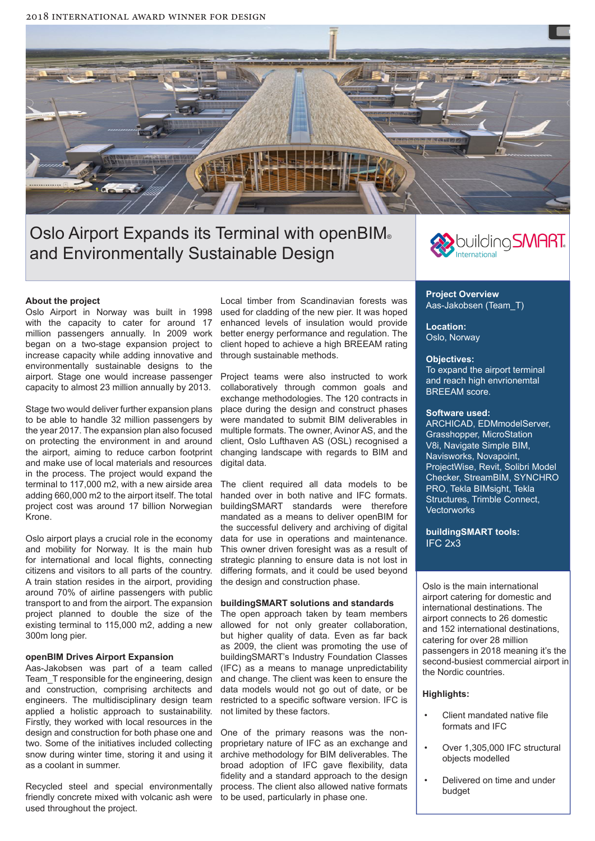

# Oslo Airport Expands its Terminal with openBIM® and Environmentally Sustainable Design

# building SMART.

# **About the project**

Oslo Airport in Norway was built in 1998 with the capacity to cater for around 17 million passengers annually. In 2009 work began on a two-stage expansion project to increase capacity while adding innovative and environmentally sustainable designs to the airport. Stage one would increase passenger capacity to almost 23 million annually by 2013.

Stage two would deliver further expansion plans to be able to handle 32 million passengers by the year 2017. The expansion plan also focused on protecting the environment in and around the airport, aiming to reduce carbon footprint and make use of local materials and resources in the process. The project would expand the terminal to 117,000 m2, with a new airside area adding 660,000 m2 to the airport itself. The total project cost was around 17 billion Norwegian Krone.

Oslo airport plays a crucial role in the economy and mobility for Norway. It is the main hub for international and local fights, connecting citizens and visitors to all parts of the country. A train station resides in the airport, providing around 70% of airline passengers with public transport to and from the airport. The expansion project planned to double the size of the existing terminal to 115,000 m2, adding a new 300m long pier.

### **openBIM Drives Airport Expansion**

Aas-Jakobsen was part of a team called Team\_T responsible for the engineering, design and construction, comprising architects and engineers. The multidisciplinary design team applied a holistic approach to sustainability. Firstly, they worked with local resources in the design and construction for both phase one and two. Some of the initiatives included collecting snow during winter time, storing it and using it as a coolant in summer.

Recycled steel and special environmentally friendly concrete mixed with volcanic ash were used throughout the project.

Local timber from Scandinavian forests was used for cladding of the new pier. It was hoped enhanced levels of insulation would provide better energy performance and regulation. The client hoped to achieve a high BREEAM rating through sustainable methods.

Project teams were also instructed to work collaboratively through common goals and exchange methodologies. The 120 contracts in place during the design and construct phases were mandated to submit BIM deliverables in multiple formats. The owner, Avinor AS, and the client, Oslo Lufthaven AS (OSL) recognised a changing landscape with regards to BIM and digital data.

The client required all data models to be handed over in both native and IFC formats. buildingSMART standards were therefore mandated as a means to deliver openBIM for the successful delivery and archiving of digital data for use in operations and maintenance. This owner driven foresight was as a result of strategic planning to ensure data is not lost in difering formats, and it could be used beyond the design and construction phase.

#### **buildingSMART solutions and standards**

The open approach taken by team members allowed for not only greater collaboration, but higher quality of data. Even as far back as 2009, the client was promoting the use of buildingSMART's Industry Foundation Classes (IFC) as a means to manage unpredictability and change. The client was keen to ensure the data models would not go out of date, or be restricted to a specifc software version. IFC is not limited by these factors.

One of the primary reasons was the nonproprietary nature of IFC as an exchange and archive methodology for BIM deliverables. The broad adoption of IFC gave flexibility, data fidelity and a standard approach to the design process. The client also allowed native formats to be used, particularly in phase one.

**Project Overview** Aas-Jakobsen (Team\_T)

**Location:**  Oslo, Norway

#### **Objectives:**

To expand the airport terminal and reach high envrionemtal BREEAM score.

## **Software used:**

ARCHICAD, EDMmodelServer, Grasshopper, MicroStation V8i, Navigate Simple BIM, Navisworks, Novapoint, ProjectWise, Revit, Solibri Model Checker, StreamBIM, SYNCHRO PRO, Tekla BIMsight, Tekla Structures, Trimble Connect, **Vectorworks** 

**buildingSMART tools:** IFC 2x3

Oslo is the main international airport catering for domestic and international destinations. The airport connects to 26 domestic and 152 international destinations, catering for over 28 million passengers in 2018 meaning it's the second-busiest commercial airport in the Nordic countries.

# **Highlights:**

- Client mandated native file formats and IFC
- Over 1,305,000 IFC structural objects modelled
- Delivered on time and under budget